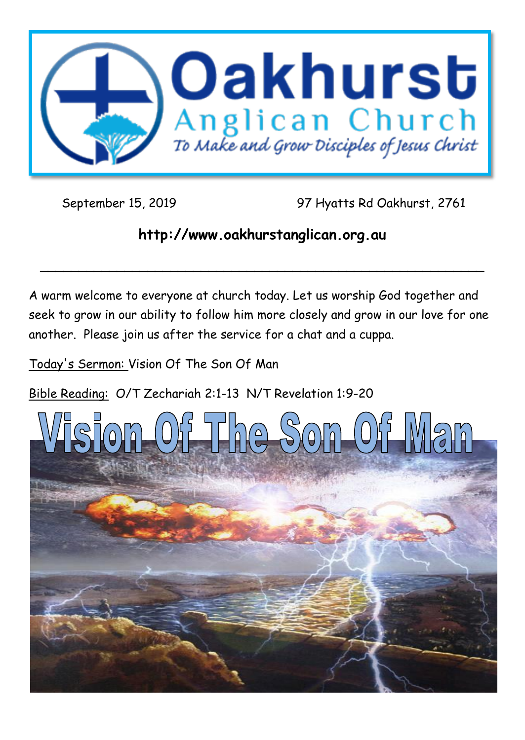

September 15, 2019 97 Hyatts Rd Oakhurst, 2761

# **http://www.oakhurstanglican.org.au**

**\_\_\_\_\_\_\_\_\_\_\_\_\_\_\_\_\_\_\_\_\_\_\_\_\_\_\_\_\_\_\_\_\_\_\_\_\_\_\_\_\_\_\_\_\_\_\_\_\_\_\_\_\_\_\_\_\_\_**

A warm welcome to everyone at church today. Let us worship God together and seek to grow in our ability to follow him more closely and grow in our love for one another. Please join us after the service for a chat and a cuppa.

Today's Sermon: Vision Of The Son Of Man

Bible Reading: O/T Zechariah 2:1-13 N/T Revelation 1:9-20

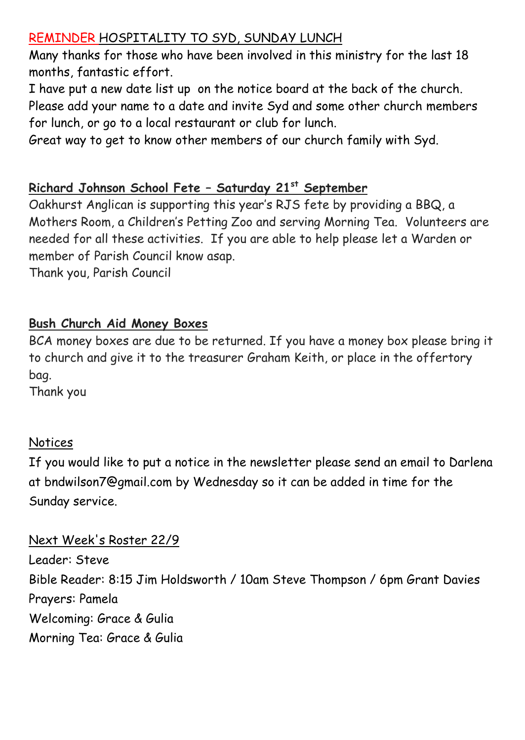## REMINDER HOSPITALITY TO SYD, SUNDAY LUNCH

Many thanks for those who have been involved in this ministry for the last 18 months, fantastic effort.

I have put a new date list up on the notice board at the back of the church. Please add your name to a date and invite Syd and some other church members for lunch, or go to a local restaurant or club for lunch.

Great way to get to know other members of our church family with Syd.

## **Richard Johnson School Fete – Saturday 21st September**

Oakhurst Anglican is supporting this year's RJS fete by providing a BBQ, a Mothers Room, a Children's Petting Zoo and serving Morning Tea. Volunteers are needed for all these activities. If you are able to help please let a Warden or member of Parish Council know asap.

Thank you, Parish Council

## **Bush Church Aid Money Boxes**

BCA money boxes are due to be returned. If you have a money box please bring it to church and give it to the treasurer Graham Keith, or place in the offertory bag.

Thank you

#### **Notices**

If you would like to put a notice in the newsletter please send an email to Darlena at bndwilson7@gmail.com by Wednesday so it can be added in time for the Sunday service.

Next Week's Roster 22/9 Leader: Steve Bible Reader: 8:15 Jim Holdsworth / 10am Steve Thompson / 6pm Grant Davies Prayers: Pamela Welcoming: Grace & Gulia Morning Tea: Grace & Gulia